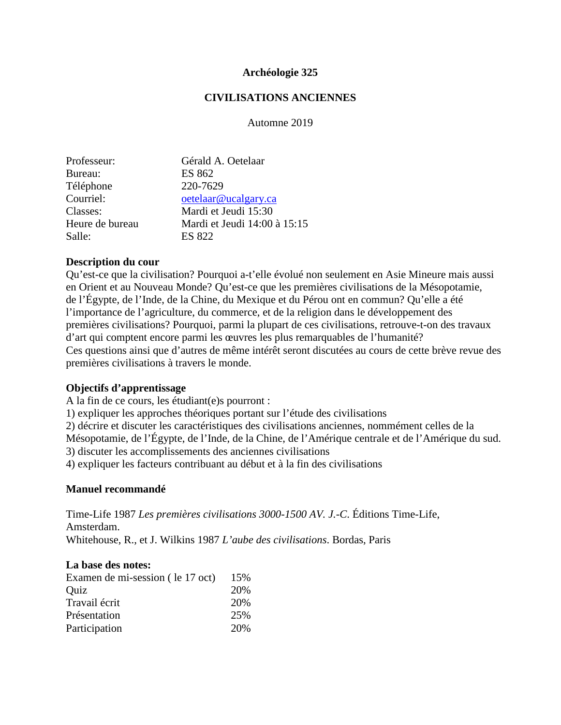### **Archéologie 325**

### **CIVILISATIONS ANCIENNES**

Automne 2019

| Professeur:     | Gérald A. Oetelaar           |
|-----------------|------------------------------|
| Bureau:         | <b>ES 862</b>                |
| Téléphone       | 220-7629                     |
| Courriel:       | oetelaar@ucalgary.ca         |
| Classes:        | Mardi et Jeudi 15:30         |
| Heure de bureau | Mardi et Jeudi 14:00 à 15:15 |
| Salle:          | <b>ES 822</b>                |

### **Description du cour**

Qu'est-ce que la civilisation? Pourquoi a-t'elle évolué non seulement en Asie Mineure mais aussi en Orient et au Nouveau Monde? Qu'est-ce que les premières civilisations de la Mésopotamie, de l'Égypte, de l'Inde, de la Chine, du Mexique et du Pérou ont en commun? Qu'elle a été l'importance de l'agriculture, du commerce, et de la religion dans le développement des premières civilisations? Pourquoi, parmi la plupart de ces civilisations, retrouve-t-on des travaux d'art qui comptent encore parmi les œuvres les plus remarquables de l'humanité? Ces questions ainsi que d'autres de même intérêt seront discutées au cours de cette brève revue des premières civilisations à travers le monde.

### **Objectifs d'apprentissage**

A la fin de ce cours, les étudiant(e)s pourront :

1) expliquer les approches théoriques portant sur l'étude des civilisations

2) décrire et discuter les caractéristiques des civilisations anciennes, nommément celles de la

Mésopotamie, de l'Égypte, de l'Inde, de la Chine, de l'Amérique centrale et de l'Amérique du sud. 3) discuter les accomplissements des anciennes civilisations

4) expliquer les facteurs contribuant au début et à la fin des civilisations

#### **Manuel recommandé**

Time-Life 1987 *Les premières civilisations 3000-1500 AV. J.-C*. Éditions Time-Life, Amsterdam. Whitehouse, R., et J. Wilkins 1987 *L'aube des civilisations*. Bordas, Paris

## **La base des notes:**

| Examen de mi-session (le 17 oct) | 15% |
|----------------------------------|-----|
| Quiz                             | 20% |
| Travail écrit                    | 20% |
| Présentation                     | 25% |
| Participation                    | 20% |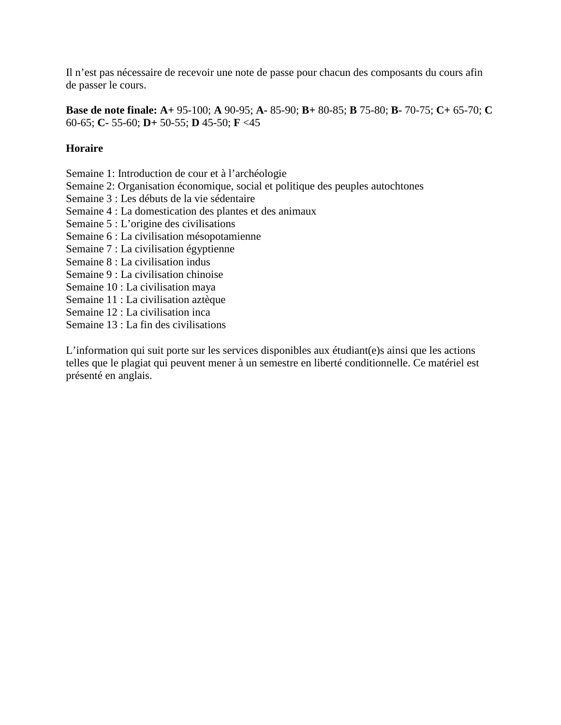Il n'est pas nécessaire de recevoir une note de passe pour chacun des composants du cours afin de passer le cours.

**Base de note finale: A+** 95-100; **A** 90-95; **A-** 85-90; **B+** 80-85; **B** 75-80; **B-** 70-75; **C+** 65-70; **C** 60-65; **C-** 55-60; **D+** 50-55; **D** 45-50; **F** <45

# **Horaire**

- Semaine 1: Introduction de cour et à l'archéologie
- Semaine 2: Organisation économique, social et politique des peuples autochtones
- Semaine 3 : Les débuts de la vie sédentaire
- Semaine 4 : La domestication des plantes et des animaux
- Semaine 5 : L'origine des civilisations
- Semaine 6 : La civilisation mésopotamienne
- Semaine 7 : La civilisation égyptienne
- Semaine 8 : La civilisation indus
- Semaine 9 : La civilisation chinoise
- Semaine 10 : La civilisation maya
- Semaine 11 : La civilisation aztèque
- Semaine 12 : La civilisation inca
- Semaine 13 : La fin des civilisations

L'information qui suit porte sur les services disponibles aux étudiant(e)s ainsi que les actions telles que le plagiat qui peuvent mener à un semestre en liberté conditionnelle. Ce matériel est présenté en anglais.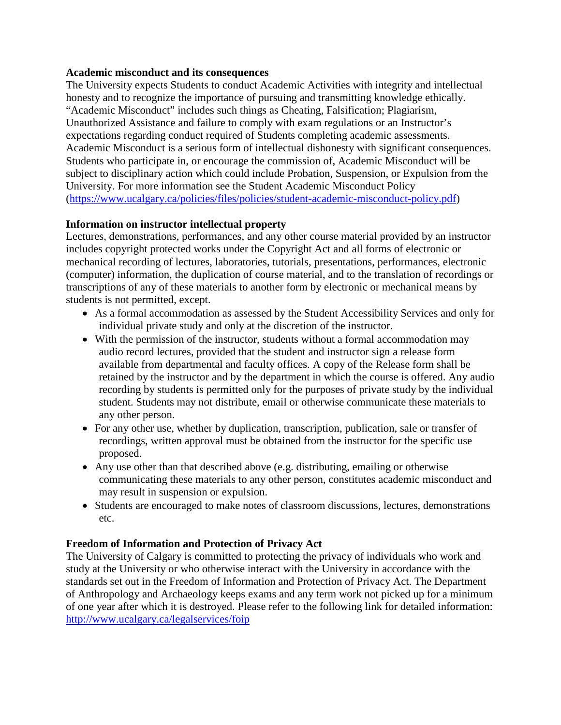### **Academic misconduct and its consequences**

The University expects Students to conduct Academic Activities with integrity and intellectual honesty and to recognize the importance of pursuing and transmitting knowledge ethically. "Academic Misconduct" includes such things as Cheating, Falsification; Plagiarism, Unauthorized Assistance and failure to comply with exam regulations or an Instructor's expectations regarding conduct required of Students completing academic assessments. Academic Misconduct is a serious form of intellectual dishonesty with significant consequences. Students who participate in, or encourage the commission of, Academic Misconduct will be subject to disciplinary action which could include Probation, Suspension, or Expulsion from the University. For more information see the Student Academic Misconduct Policy [\(https://www.ucalgary.ca/policies/files/policies/student-academic-misconduct-policy.pdf\)](https://www.ucalgary.ca/policies/files/policies/student-academic-misconduct-policy.pdf)

# **Information on instructor intellectual property**

Lectures, demonstrations, performances, and any other course material provided by an instructor includes copyright protected works under the Copyright Act and all forms of electronic or mechanical recording of lectures, laboratories, tutorials, presentations, performances, electronic (computer) information, the duplication of course material, and to the translation of recordings or transcriptions of any of these materials to another form by electronic or mechanical means by students is not permitted, except.

- As a formal accommodation as assessed by the Student Accessibility Services and only for individual private study and only at the discretion of the instructor.
- With the permission of the instructor, students without a formal accommodation may audio record lectures, provided that the student and instructor sign a release form available from departmental and faculty offices. A copy of the Release form shall be retained by the instructor and by the department in which the course is offered. Any audio recording by students is permitted only for the purposes of private study by the individual student. Students may not distribute, email or otherwise communicate these materials to any other person.
- For any other use, whether by duplication, transcription, publication, sale or transfer of recordings, written approval must be obtained from the instructor for the specific use proposed.
- Any use other than that described above (e.g. distributing, emailing or otherwise communicating these materials to any other person, constitutes academic misconduct and may result in suspension or expulsion.
- Students are encouraged to make notes of classroom discussions, lectures, demonstrations etc.

# **Freedom of Information and Protection of Privacy Act**

The University of Calgary is committed to protecting the privacy of individuals who work and study at the University or who otherwise interact with the University in accordance with the standards set out in the Freedom of Information and Protection of Privacy Act. The Department of Anthropology and Archaeology keeps exams and any term work not picked up for a minimum of one year after which it is destroyed. Please refer to the following link for detailed information: <http://www.ucalgary.ca/legalservices/foip>